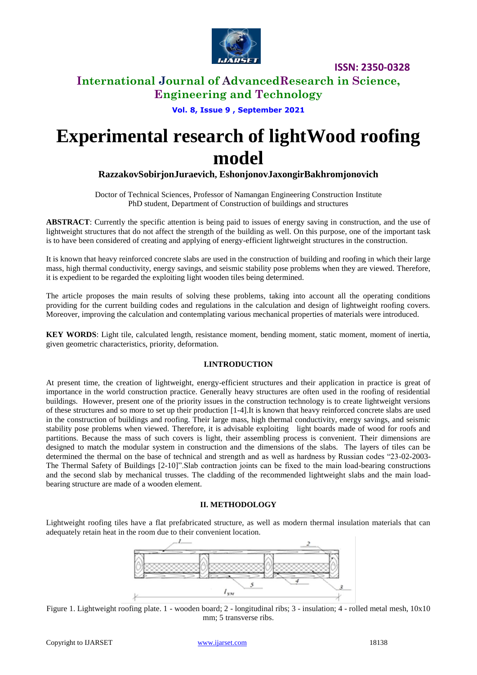

### **International Journal of AdvancedResearch in Science, Engineering and Technology**

**Vol. 8, Issue 9 , September 2021**

# **Experimental research of lightWood roofing model**

### **RazzakovSobirjonJuraevich, EshonjonovJaxongirBakhromjonovich**

Doctor of Technical Sciences, Professor of Namangan Engineering Construction Institute PhD student, Department of Construction of buildings and structures

**ABSTRACT**: Currently the specific attention is being paid to issues of energy saving in construction, and the use of lightweight structures that do not affect the strength of the building as well. On this purpose, one of the important task is to have been considered of creating and applying of energy-efficient lightweight structures in the construction.

It is known that heavy reinforced concrete slabs are used in the construction of building and roofing in which their large mass, high thermal conductivity, energy savings, and seismic stability pose problems when they are viewed. Therefore, it is expedient to be regarded the exploiting light wooden tiles being determined.

The article proposes the main results of solving these problems, taking into account all the operating conditions providing for the current building codes and regulations in the calculation and design of lightweight roofing covers. Moreover, improving the calculation and contemplating various mechanical properties of materials were introduced.

**KEY WORDS**: Light tile, calculated length, resistance moment, bending moment, static moment, moment of inertia, given geometric characteristics, priority, deformation.

### **I.INTRODUCTION**

At present time, the creation of lightweight, energy-efficient structures and their application in practice is great of importance in the world construction practice. Generally heavy structures are often used in the roofing of residential buildings. However, present one of the priority issues in the construction technology is to create lightweight versions of these structures and so more to set up their production [1-4].It is known that heavy reinforced concrete slabs are used in the construction of buildings and roofing. Their large mass, high thermal conductivity, energy savings, and seismic stability pose problems when viewed. Therefore, it is advisable exploiting light boards made of wood for roofs and partitions. Because the mass of such covers is light, their assembling process is convenient. Their dimensions are designed to match the modular system in construction and the dimensions of the slabs. The layers of tiles can be determined the thermal on the base of technical and strength and as well as hardness by Russian codes "23-02-2003- The Thermal Safety of Buildings [2-10]".Slab contraction joints can be fixed to the main load-bearing constructions and the second slab by mechanical trusses. The cladding of the recommended lightweight slabs and the main loadbearing structure are made of a wooden element.

### **II. METHODOLOGY**

Lightweight roofing tiles have a flat prefabricated structure, as well as modern thermal insulation materials that can adequately retain heat in the room due to their convenient location.



Figure 1. Lightweight roofing plate. 1 - wooden board; 2 - longitudinal ribs; 3 - insulation; 4 - rolled metal mesh, 10x10 mm; 5 transverse ribs.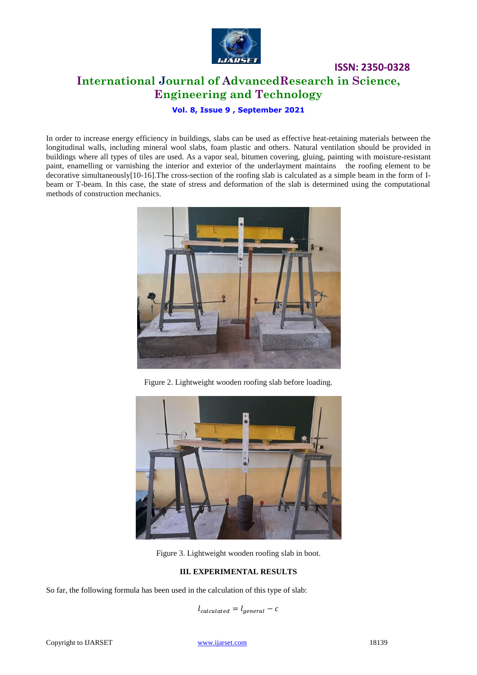

**ISSN: 2350-0328 International Journal of AdvancedResearch in Science, Engineering and Technology**

**Vol. 8, Issue 9 , September 2021**

In order to increase energy efficiency in buildings, slabs can be used as effective heat-retaining materials between the longitudinal walls, including mineral wool slabs, foam plastic and others. Natural ventilation should be provided in buildings where all types of tiles are used. As a vapor seal, bitumen covering, gluing, painting with moisture-resistant paint, enamelling or varnishing the interior and exterior of the underlayment maintains the roofing element to be decorative simultaneously[10-16].The cross-section of the roofing slab is calculated as a simple beam in the form of Ibeam or T-beam. In this case, the state of stress and deformation of the slab is determined using the computational methods of construction mechanics.



Figure 2. Lightweight wooden roofing slab before loading.



Figure 3. Lightweight wooden roofing slab in boot.

### **III. EXPERIMENTAL RESULTS**

So far, the following formula has been used in the calculation of this type of slab:

 $l_{calculated} = l_{general} - c$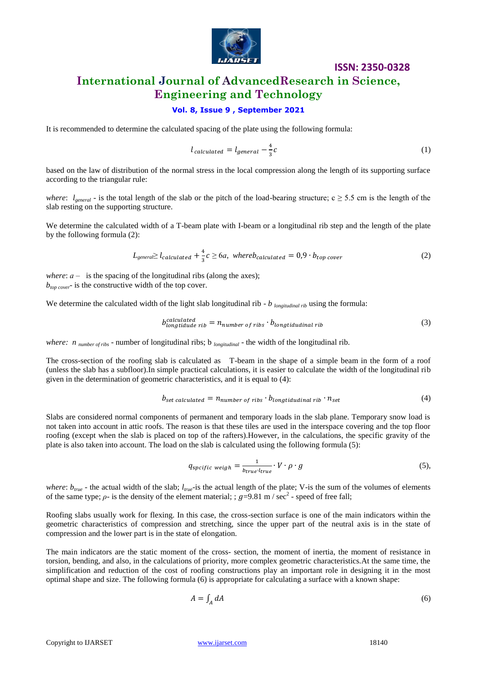

### **International Journal of AdvancedResearch in Science, Engineering and Technology**

### **Vol. 8, Issue 9 , September 2021**

It is recommended to determine the calculated spacing of the plate using the following formula:

$$
l_{calculated} = l_{general} - \frac{4}{3}c
$$
 (1)

based on the law of distribution of the normal stress in the local compression along the length of its supporting surface according to the triangular rule:

*where*:  $l_{general}$  - is the total length of the slab or the pitch of the load-bearing structure;  $c \ge 5.5$  cm is the length of the slab resting on the supporting structure.

We determine the calculated width of a T-beam plate with I-beam or a longitudinal rib step and the length of the plate by the following formula (2):

$$
L_{general} \ge l_{calculated} + \frac{4}{3}c \ge 6a, \text{ where } b_{calculated} = 0.9 \cdot b_{top \, cover} \tag{2}
$$

*where*:  $a -$  is the spacing of the longitudinal ribs (along the axes); *btop cover*- is the constructive width of the top cover.

We determine the calculated width of the light slab longitudinal rib - *b longitudinal rib* using the formula:

$$
b_{longtidade rib}^{calculated} = n_{number of ribs} \cdot b_{longtidualinal rib}
$$
\n(3)

*where: n number of ribs* - number of longitudinal ribs; b *longitudinal* - the width of the longitudinal rib.

The cross-section of the roofing slab is calculated as T-beam in the shape of a simple beam in the form of a roof (unless the slab has a subfloor).In simple practical calculations, it is easier to calculate the width of the longitudinal rib given in the determination of geometric characteristics, and it is equal to (4):

$$
b_{set\,cal} = n_{number\,of\,ribs} \cdot b_{long\,tidual\,rib} \cdot n_{set} \tag{4}
$$

Slabs are considered normal components of permanent and temporary loads in the slab plane. Temporary snow load is not taken into account in attic roofs. The reason is that these tiles are used in the interspace covering and the top floor roofing (except when the slab is placed on top of the rafters).However, in the calculations, the specific gravity of the plate is also taken into account. The load on the slab is calculated using the following formula (5):

$$
q_{\text{specific weight}} = \frac{1}{b_{\text{true}} \cdot l_{\text{true}}} \cdot V \cdot \rho \cdot g \tag{5},
$$

*where*:  $b_{true}$  - the actual width of the slab;  $l_{true}$ -is the actual length of the plate; V-is the sum of the volumes of elements of the same type;  $\rho$ - is the density of the element material; ;  $g=9.81$  m / sec<sup>2</sup> - speed of free fall;

Roofing slabs usually work for flexing. In this case, the cross-section surface is one of the main indicators within the geometric characteristics of compression and stretching, since the upper part of the neutral axis is in the state of compression and the lower part is in the state of elongation.

The main indicators are the static moment of the cross- section, the moment of inertia, the moment of resistance in torsion, bending, and also, in the calculations of priority, more complex geometric characteristics.At the same time, the simplification and reduction of the cost of roofing constructions play an important role in designing it in the most optimal shape and size. The following formula (6) is appropriate for calculating a surface with a known shape:

$$
A = \int_A dA \tag{6}
$$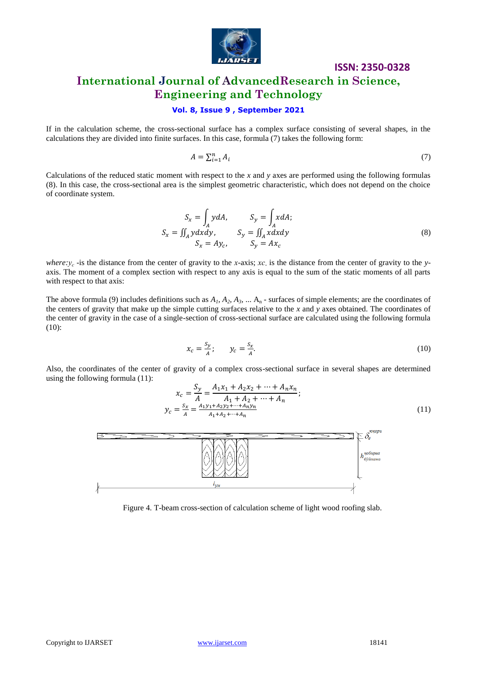

### **International Journal of AdvancedResearch in Science, Engineering and Technology**

### **Vol. 8, Issue 9 , September 2021**

If in the calculation scheme, the cross-sectional surface has a complex surface consisting of several shapes, in the calculations they are divided into finite surfaces. In this case, formula (7) takes the following form:

$$
A = \sum_{i=1}^{n} A_i \tag{7}
$$

Calculations of the reduced static moment with respect to the *x* and *y* axes are performed using the following formulas (8). In this case, the cross-sectional area is the simplest geometric characteristic, which does not depend on the choice of coordinate system.

$$
S_x = \int_A y dA, \qquad S_y = \int_A x dA; S_x = \iint_A y dxdy, \qquad S_y = \iint_A x dxdy S_x = Ay_c, \qquad S_y = Ax_c
$$
 (8)

*where:у<sup>с</sup>* -is the distance from the center of gravity to the *х*-axis; *хс-*is the distance from the center of gravity to the *y*axis. The moment of a complex section with respect to any axis is equal to the sum of the static moments of all parts with respect to that axis:

The above formula (9) includes definitions such as  $A_1$ ,  $A_2$ ,  $A_3$ , ...  $A_n$  - surfaces of simple elements; are the coordinates of the centers of gravity that make up the simple cutting surfaces relative to the *x* and *y* axes obtained. The coordinates of the center of gravity in the case of a single-section of cross-sectional surface are calculated using the following formula (10):

$$
x_c = \frac{s_y}{A}; \qquad y_c = \frac{s_x}{A}.\tag{10}
$$

Also, the coordinates of the center of gravity of a complex cross-sectional surface in several shapes are determined using the following formula (11):

$$
x_c = \frac{S_y}{A} = \frac{A_1 x_1 + A_2 x_2 + \dots + A_n x_n}{A_1 + A_2 + \dots + A_n};
$$
  
\n
$$
y_c = \frac{S_x}{A} = \frac{A_1 y_1 + A_2 y_2 + \dots + A_n y_n}{A_1 + A_2 + \dots + A_n}
$$
\n(11)



Figure 4. T-beam cross-section of calculation scheme of light wood roofing slab.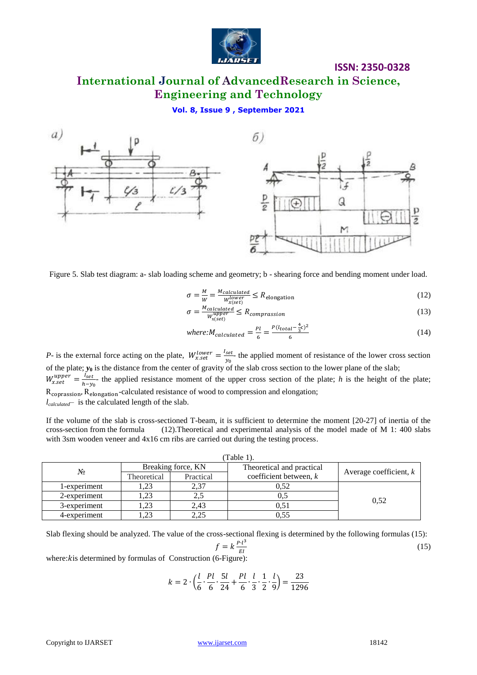

# **International Journal of AdvancedResearch in Science, Engineering and Technology**

**Vol. 8, Issue 9 , September 2021**



Figure 5. Slab test diagram: a- slab loading scheme and geometry; b - shearing force and bending moment under load.

$$
\sigma = \frac{M}{W} = \frac{M_{calculated}}{W_{x(st)}^{lower}} \le R_{\text{elongation}}
$$
\n(12)

$$
\sigma = \frac{M_{calculated}}{W_{x(set)}^{upper}} \le R_{comparison} \tag{13}
$$

where: 
$$
M_{calculated} = \frac{Pl}{6} = \frac{P(l_{total} - \frac{4}{3}c)^2}{6}
$$
 (14)

*P*- is the external force acting on the plate,  $W_{x,\text{set}}^{lower} = \frac{1}{x}$  $\frac{set}{y_0}$  the applied moment of resistance of the lower cross section of the plate;  $y_0$  is the distance from the center of gravity of the slab cross section to the lower plane of the slab;

 $W_{x,set}^{upper} = \frac{1}{b}$  $\frac{fset}{h-y_0}$  the applied resistance moment of the upper cross section of the plate; *h* is the height of the plate; R<sub>coprassion</sub>, R<sub>elongation</sub>-calculated resistance of wood to compression and elongation;

*lcalculated*– is the calculated length of the slab.

If the volume of the slab is cross-sectioned T-beam, it is sufficient to determine the moment [20-27] of inertia of the cross-section from the formula (12).Theoretical and experimental analysis of the model made of M 1: 400 slabs with 3sm wooden veneer and  $4x16$  cm ribs are carried out during the testing process.

| Table 1).    |                    |           |                           |                          |
|--------------|--------------------|-----------|---------------------------|--------------------------|
| No           | Breaking force, KN |           | Theoretical and practical |                          |
|              | Theoretical        | Practical | coefficient between, $k$  | Average coefficient, $k$ |
| 1-experiment | . 23               | 2,37      | 0.52                      |                          |
| 2-experiment | 1.23               | 2,5       |                           | 0.52                     |
| 3-experiment | 1,23               | 2,43      | 0.51                      |                          |
| 4-experiment | 23                 | 2,25      | 0.55                      |                          |

Slab flexing should be analyzed. The value of the cross-sectional flexing is determined by the following formulas (15):

$$
f = k \frac{P \cdot l^3}{EI}
$$

where: *k* is determined by formulas of Construction (6-Figure):

$$
k = 2 \cdot \left( \frac{l}{6} \cdot \frac{Pl}{6} \cdot \frac{5l}{24} + \frac{Pl}{6} \cdot \frac{l}{3} \cdot \frac{1}{2} \cdot \frac{l}{9} \right) = \frac{23}{1296}
$$

(15)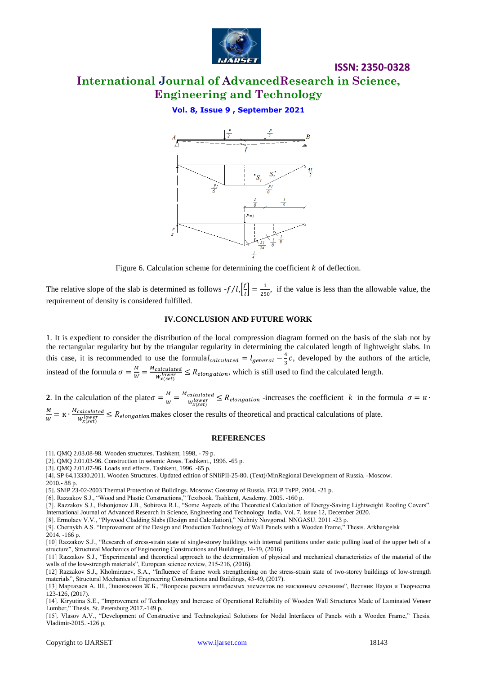

### **International Journal of AdvancedResearch in Science, Engineering and Technology**

**Vol. 8, Issue 9 , September 2021**



Figure 6. Calculation scheme for determining the coefficient  $k$  of deflection.

The relative slope of the slab is determined as follows  $-f/l$ ,  $\frac{f}{l}$  $\left[\frac{f}{l}\right] = \frac{1}{25}$  $\frac{1}{250}$ , if the value is less than the allowable value, the requirement of density is considered fulfilled.

#### **IV.CONCLUSION AND FUTURE WORK**

1. It is expedient to consider the distribution of the local compression diagram formed on the basis of the slab not by the rectangular regularity but by the triangular regularity in determining the calculated length of lightweight slabs. In this case, it is recommended to use the formulal<sub>calculated</sub> =  $l_{general - \frac{4}{3}}$  $\frac{4}{3}c$ , developed by the authors of the article, instead of the formula  $\sigma = \frac{M}{W}$  $\frac{M}{W} = \frac{M}{A}$  $\frac{calculated}{W_{v(ee)}} \leq R_{elongation}$ , which is still used to find the calculated length.

**2**. In the calculation of the plate  $\sigma = \frac{M}{W}$  $\frac{M}{W} = \frac{M}{A}$  $\frac{calculated}{W_{v(ee)}} \leq R_{elongation}$  -increases the coefficient *k* in the formula M

 $\frac{M}{W} = \kappa \cdot \frac{M}{\tau}$  $\frac{calculated}{W_{v(e)}^{lower}} \leq R_{elongation}$  makes closer the results of theoretical and practical calculations of plate.

#### **REFERENCES**

[1]. QMQ 2.03.08-98. Wooden structures. Tashkent, 1998, - 79 p.

[2]. QMQ 2.01.03-96. Construction in seismic Areas. Tashkent., 1996. -65 p.

[3]. QMQ 2.01.07-96. Loads and effects. Tashkent, 1996. -65 p.

[4]. SP 64.13330.2011. Wooden Structures. Updated edition of SNIiPII-25-80. (Text)/MinRegional Development of Russia. -Moscow.

2010.- 88 p.

[5]. SNiP 23-02-2003 Thermal Protection of Buildings. Moscow: Gosstroy of Russia, FGUP TsPP, 2004. -21 p.

[6]. Razzakov S.J., "Wood and Plastic Constructions," Textbook. Tashkent, Academy. 2005. -160 p.

[7]. Razzakov S.J., Eshonjonov J.B., Sobirova R.I., "Some Aspects of the Theoretical Calculation of Energy-Saving Lightweight Roofing Covers". International Journal of Advanced Research in Science, Engineering and Technology. India. Vol. 7, Issue 12, December 2020.

[8]. Ermolaev V.V., "Plywood Cladding Slabs (Design and Calculation)," Nizhniy Novgorod. NNGASU. 2011.-23 p.

[9]. Chernykh A.S. "Improvement of the Design and Production Technology of Wall Panels with a Wooden Frame," Thesis. Arkhangelsk

2014. -166 p.

[10] Razzakov S.J., "Research of stress-strain state of single-storey buildings with internal partitions under static pulling load of the upper belt of a structure", Structural Mechanics of Engineering Constructions and Buildings, 14-19, (2016).

[11] Razzakov S.J., "Experimental and theoretical approach to the determination of physical and mechanical characteristics of the material of the walls of the low-strength materials", European science review, 215-216, (2016).

[12] Razzakov S.J., Kholmirzaev, S.A., "Influence of frame work strengthening on the stress-strain state of two-storey buildings of low-strength materials", Structural Mechanics of Engineering Constructions and Buildings, 43-49, (2017).

[13] Мартазаев А. Ш., Эшонжонов Ж.Б., "Вопросы расчета изгибаемых элементов по наклонным сечениям", Вестник Науки и Творчества 123-126, (2017).

[14]. Kiryutina S.E., "Improvement of Technology and Increase of Operational Reliability of Wooden Wall Structures Made of Laminated Veneer Lumber," Thesis. St. Petersburg 2017.-149 p.

[15]. Vlasov A.V., "Development of Constructive and Technological Solutions for Nodal Interfaces of Panels with a Wooden Frame," Thesis. Vladimir-2015. -126 p.